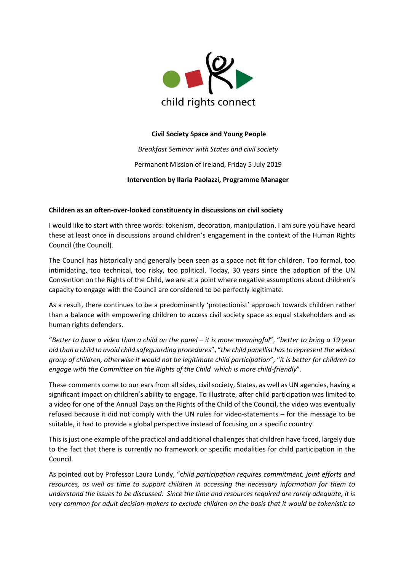

## **Civil Society Space and Young People**

*Breakfast Seminar with States and civil society* Permanent Mission of Ireland, Friday 5 July 2019 **Intervention by Ilaria Paolazzi, Programme Manager**

## **Children as an often-over-looked constituency in discussions on civil society**

I would like to start with three words: tokenism, decoration, manipulation. I am sure you have heard these at least once in discussions around children's engagement in the context of the Human Rights Council (the Council).

The Council has historically and generally been seen as a space not fit for children. Too formal, too intimidating, too technical, too risky, too political. Today, 30 years since the adoption of the UN Convention on the Rights of the Child, we are at a point where negative assumptions about children's capacity to engage with the Council are considered to be perfectly legitimate.

As a result, there continues to be a predominantly 'protectionist' approach towards children rather than a balance with empowering children to access civil society space as equal stakeholders and as human rights defenders.

"*Better to have a video than a child on the panel – it is more meaningful*", "*better to bring a 19 year old than a child to avoid child safeguarding procedures*", "*the child panellist has to represent the widest group of children, otherwise it would not be legitimate child participation*", "*it is better for children to engage with the Committee on the Rights of the Child which is more child-friendly*".

These comments come to our ears from all sides, civil society, States, as well as UN agencies, having a significant impact on children's ability to engage. To illustrate, after child participation was limited to a video for one of the Annual Days on the Rights of the Child of the Council, the video was eventually refused because it did not comply with the UN rules for video-statements – for the message to be suitable, it had to provide a global perspective instead of focusing on a specific country.

This is just one example of the practical and additional challenges that children have faced, largely due to the fact that there is currently no framework or specific modalities for child participation in the Council.

As pointed out by Professor Laura Lundy, "c*hild participation requires commitment, joint efforts and resources, as well as time to support children in accessing the necessary information for them to understand the issues to be discussed. Since the time and resources required are rarely adequate, it is very common for adult decision-makers to exclude children on the basis that it would be tokenistic to*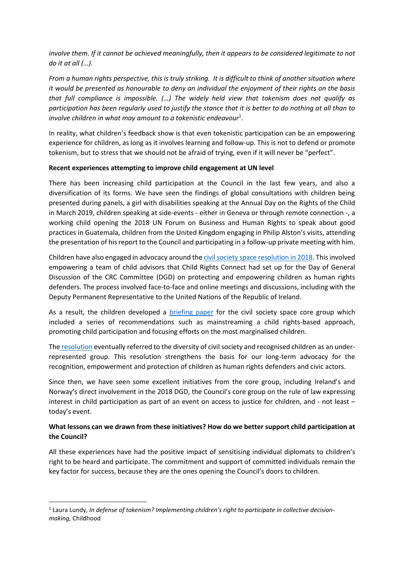*involve them. If it cannot be achieved meaningfully, then it appears to be considered legitimate to not do it at all (…).*

*From a human rights perspective, this is truly striking. It is difficult to think of another situation where it would be presented as honourable to deny an individual the enjoyment of their rights on the basis that full compliance is impossible. (…) The widely held view that tokenism does not qualify as participation has been regularly used to justify the stance that it is better to do nothing at all than to involve children in what may amount to a tokenistic endeavour*<sup>1</sup> .

In reality, what children's feedback show is that even tokenistic participation can be an empowering experience for children, as long as it involves learning and follow-up. This is not to defend or promote tokenism, but to stress that we should not be afraid of trying, even if it will never be "perfect".

## **Recent experiences attempting to improve child engagement at UN level**

There has been increasing child participation at the Council in the last few years, and also a diversification of its forms. We have seen the findings of global consultations with children being presented during panels, a girl with disabilities speaking at the Annual Day on the Rights of the Child in March 2019, children speaking at side-events - either in Geneva or through remote connection -, a working child opening the 2018 UN Forum on Business and Human Rights to speak about good practices in Guatemala, children from the United Kingdom engaging in Philip Alston's visits, attending the presentation of his report to the Council and participating in a follow-up private meeting with him.

Children have also engaged in advocacy around th[e civil society space resolution in 2018.](http://ap.ohchr.org/documents/dpage_e.aspx?si=A/HRC/RES/38/12) This involved empowering a team of child advisors that Child Rights Connect had set up for the Day of General Discussion of the CRC Committee (DGD) on protecting and empowering children as human rights defenders. The process involved face-to-face and online meetings and discussions, including with the Deputy Permanent Representative to the United Nations of the Republic of Ireland.

As a result, the children developed a **[briefing](https://www.childrightsconnect.org/wp-content/uploads/2019/07/Recommendations_civil_society_space.pdf) paper** for the civil society space core group which included a series of recommendations such as mainstreaming a child rights-based approach, promoting child participation and focusing efforts on the most marginalised children.

The [resolution](http://ap.ohchr.org/documents/dpage_e.aspx?si=A/HRC/RES/38/12) eventually referred to the diversity of civil society and recognised children as an underrepresented group. This resolution strengthens the basis for our long-term advocacy for the recognition, empowerment and protection of children as human rights defenders and civic actors.

Since then, we have seen some excellent initiatives from the core group, including Ireland's and Norway's direct involvement in the 2018 DGD, the Council's core group on the rule of law expressing interest in child participation as part of an event on access to justice for children, and - not least – today's event.

## **What lessons can we drawn from these initiatives? How do we better support child participation at the Council?**

All these experiences have had the positive impact of sensitising individual diplomats to children's right to be heard and participate. The commitment and support of committed individuals remain the key factor for success, because they are the ones opening the Council's doors to children.

1

<sup>1</sup> Laura Lundy, *In defense of tokenism? Implementing children's right to participate in collective decisionmaking,* Childhood